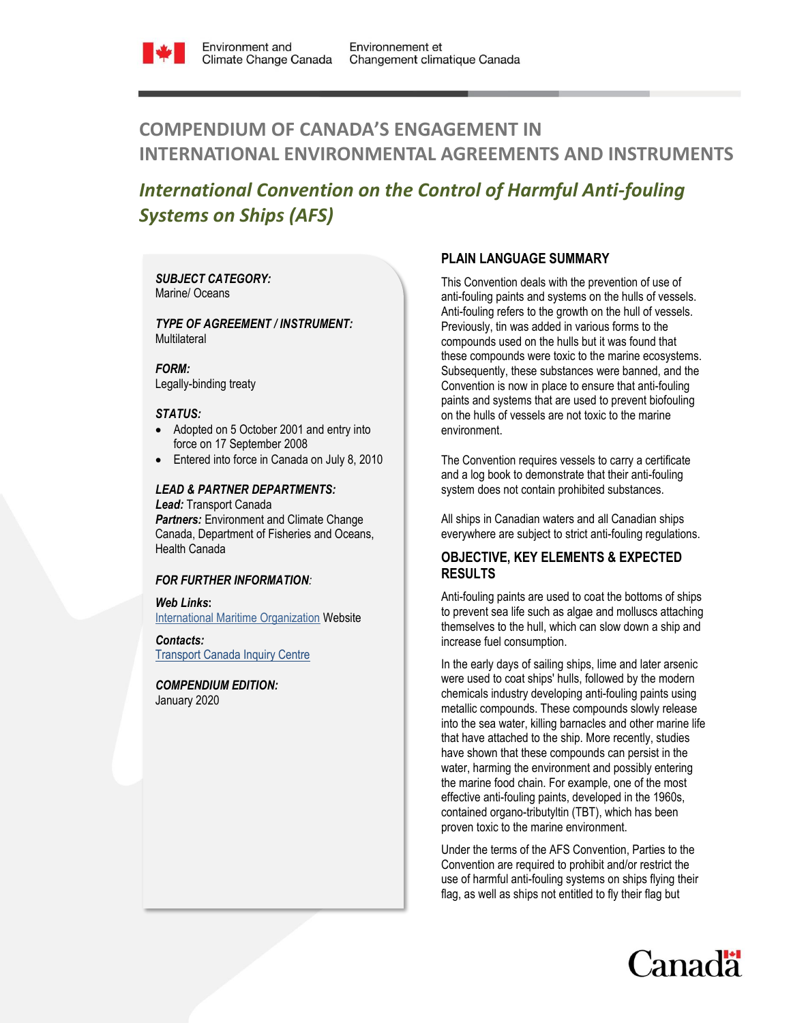

# **COMPENDIUM OF CANADA'S ENGAGEMENT IN INTERNATIONAL ENVIRONMENTAL AGREEMENTS AND INSTRUMENTS**

# *International Convention on the Control of Harmful Anti-fouling Systems on Ships (AFS)*

### *SUBJECT CATEGORY:*  Marine/ Oceans

#### *TYPE OF AGREEMENT / INSTRUMENT:*  **Multilateral**

*FORM:*

Legally-binding treaty

## *STATUS:*

- Adopted on 5 October 2001 and entry into force on 17 September 2008
- Entered into force in Canada on July 8, 2010

# *LEAD & PARTNER DEPARTMENTS:*

*Lead:* Transport Canada **Partners:** Environment and Climate Change Canada, Department of Fisheries and Oceans, Health Canada

#### *FOR FURTHER INFORMATION:*

#### *Web Links***:**

[International Maritime Organization](http://www.imo.org/OurWork/Pages/Home.aspx) Website

## *Contacts:* [Transport Canada Inquiry Centre](https://www.tc.gc.ca/eng/contact-us.htm)

*COMPENDIUM EDITION:*  January 2020

# **PLAIN LANGUAGE SUMMARY**

This Convention deals with the prevention of use of anti-fouling paints and systems on the hulls of vessels. Anti-fouling refers to the growth on the hull of vessels. Previously, tin was added in various forms to the compounds used on the hulls but it was found that these compounds were toxic to the marine ecosystems. Subsequently, these substances were banned, and the Convention is now in place to ensure that anti-fouling paints and systems that are used to prevent biofouling on the hulls of vessels are not toxic to the marine environment.

The Convention requires vessels to carry a certificate and a log book to demonstrate that their anti-fouling system does not contain prohibited substances.

All ships in Canadian waters and all Canadian ships everywhere are subject to strict anti-fouling regulations.

# **OBJECTIVE, KEY ELEMENTS & EXPECTED RESULTS**

Anti-fouling paints are used to coat the bottoms of ships to prevent sea life such as algae and molluscs attaching themselves to the hull, which can slow down a ship and increase fuel consumption.

In the early days of sailing ships, lime and later arsenic were used to coat ships' hulls, followed by the modern chemicals industry developing anti-fouling paints using metallic compounds. These compounds slowly release into the sea water, killing barnacles and other marine life that have attached to the ship. More recently, studies have shown that these compounds can persist in the water, harming the environment and possibly entering the marine food chain. For example, one of the most effective anti-fouling paints, developed in the 1960s, contained organo-tributyltin (TBT), which has been proven toxic to the marine environment.

Under the terms of the AFS Convention, Parties to the Convention are required to prohibit and/or restrict the use of harmful anti-fouling systems on ships flying their flag, as well as ships not entitled to fly their flag but